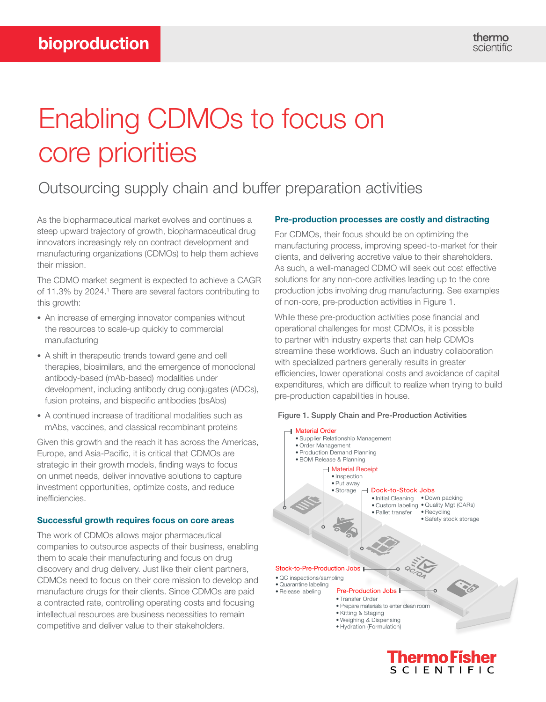# Enabling CDMOs to focus on core priorities

## Outsourcing supply chain and buffer preparation activities

As the biopharmaceutical market evolves and continues a steep upward trajectory of growth, biopharmaceutical drug innovators increasingly rely on contract development and manufacturing organizations (CDMOs) to help them achieve their mission.

The CDMO market segment is expected to achieve a CAGR of 11.3% by 2024.<sup>1</sup> There are several factors contributing to this growth:

- An increase of emerging innovator companies without the resources to scale-up quickly to commercial manufacturing
- A shift in therapeutic trends toward gene and cell therapies, biosimilars, and the emergence of monoclonal antibody-based (mAb-based) modalities under development, including antibody drug conjugates (ADCs), fusion proteins, and bispecific antibodies (bsAbs)
- A continued increase of traditional modalities such as mAbs, vaccines, and classical recombinant proteins

Given this growth and the reach it has across the Americas, Europe, and Asia-Pacific, it is critical that CDMOs are strategic in their growth models, finding ways to focus on unmet needs, deliver innovative solutions to capture investment opportunities, optimize costs, and reduce inefficiencies.

### Successful growth requires focus on core areas

The work of CDMOs allows major pharmaceutical companies to outsource aspects of their business, enabling them to scale their manufacturing and focus on drug discovery and drug delivery. Just like their client partners, CDMOs need to focus on their core mission to develop and manufacture drugs for their clients. Since CDMOs are paid a contracted rate, controlling operating costs and focusing intellectual resources are business necessities to remain competitive and deliver value to their stakeholders.

### Pre-production processes are costly and distracting

For CDMOs, their focus should be on optimizing the manufacturing process, improving speed-to-market for their clients, and delivering accretive value to their shareholders. As such, a well-managed CDMO will seek out cost effective solutions for any non-core activities leading up to the core production jobs involving drug manufacturing. See examples of non-core, pre-production activities in Figure 1.

While these pre-production activities pose financial and operational challenges for most CDMOs, it is possible to partner with industry experts that can help CDMOs streamline these workflows. Such an industry collaboration with specialized partners generally results in greater efficiencies, lower operational costs and avoidance of capital expenditures, which are difficult to realize when trying to build pre-production capabilities in house.





Thermo Físher **SCIENTIFIC**